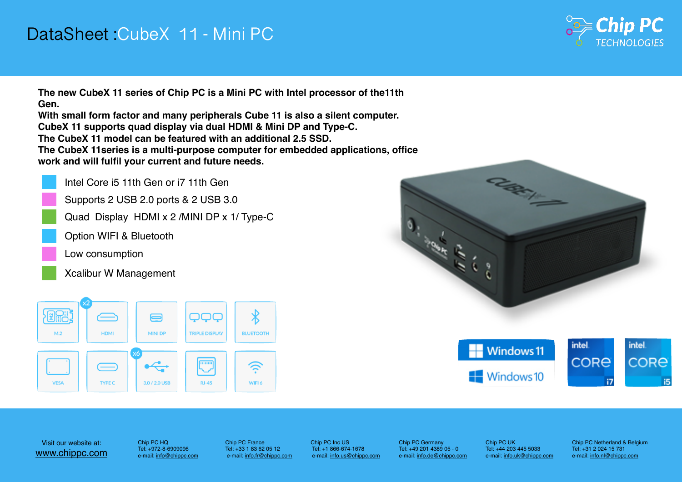



Chip PC France Tel: +33 1 83 62 05 12 e-mail: [info.fr@chippc.com](mailto:info.fr@chippc.com) Chip PC Inc US Tel: +1 866-674-1678 e-mail: [info.us@chippc.com](mailto:info.us@chippc.com?subject=)

## DataSheet :CubeX 11 - Mini PC

Chip PC Germany Tel: +49 201 4389 05 - 0 e-mail: [info.de@chippc.com](mailto:info.de@chippc.com)









Visit our website at: [www.chippc.com](http://www.chippc.com)

Chip PC UK Tel: +44 203 445 5033 e-mail: [info.uk@chippc.com](mailto:info.uk@chippc.com?subject=)

Chip PC HQ Tel: +972-8-6909096 e-mail: [info@chippc.com](mailto:info@chippc.com)

- 
- 
- 



Chip PC Netherland & Belgium Tel: +31 2 024 15 731 e-mail: [info.nl@chippc.com](mailto:info.nl@chippc.com)





**The new CubeX 11 series of Chip PC is a Mini PC with Intel processor of the11th Gen.**

**With small form factor and many peripherals Cube 11 is also a silent computer. CubeX 11 supports quad display via dual HDMI & Mini DP and Type-C. The CubeX 11 model can be featured with an additional 2.5 SSD. The CubeX 11series is a multi-purpose computer for embedded applications, office work and will fulfil your current and future needs.**